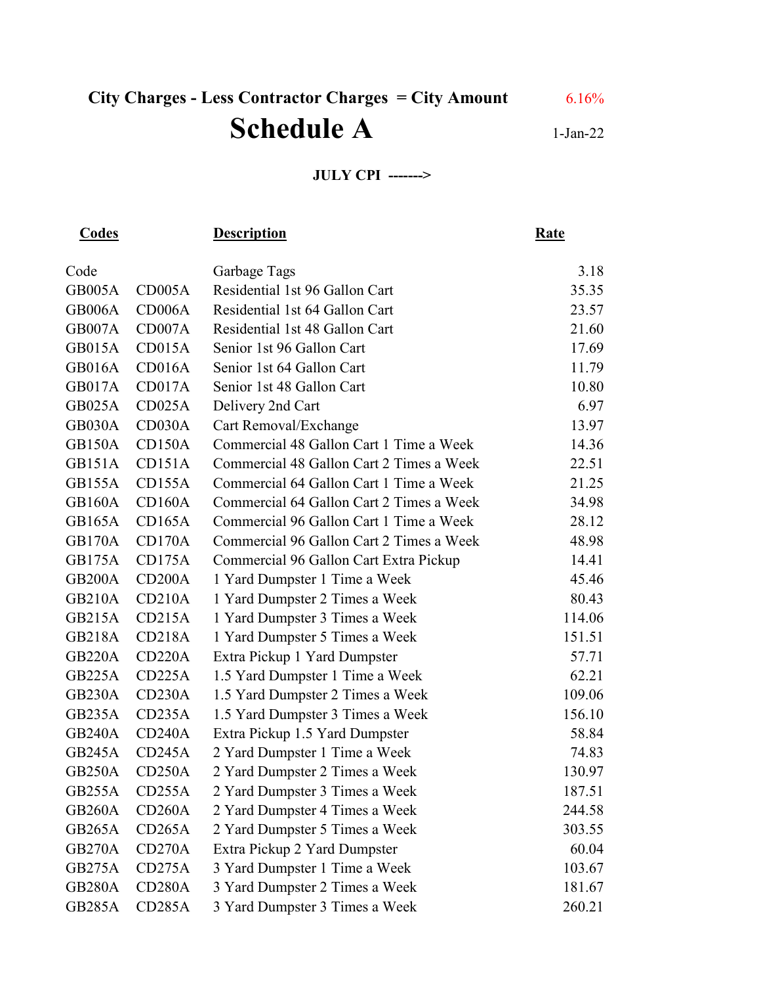## City Charges - Less Contractor Charges = City Amount 6.16% Schedule A 1-Jan-22

## JULY CPI ------->

| <b>Codes</b>        |               | <b>Description</b>                       | <b>Rate</b> |
|---------------------|---------------|------------------------------------------|-------------|
| Code                |               | Garbage Tags                             | 3.18        |
| <b>GB005A</b>       | CD005A        | Residential 1st 96 Gallon Cart           | 35.35       |
| GB006A              | CD006A        | Residential 1st 64 Gallon Cart           | 23.57       |
| GB007A              | CD007A        | Residential 1st 48 Gallon Cart           | 21.60       |
| GB015A              | CD015A        | Senior 1st 96 Gallon Cart                | 17.69       |
| GB016A              | CD016A        | Senior 1st 64 Gallon Cart                | 11.79       |
| GB017A              | CD017A        | Senior 1st 48 Gallon Cart                | 10.80       |
| <b>GB025A</b>       | CD025A        | Delivery 2nd Cart                        | 6.97        |
| GB030A              | CD030A        | Cart Removal/Exchange                    | 13.97       |
| GB150A              | CD150A        | Commercial 48 Gallon Cart 1 Time a Week  | 14.36       |
| GB <sub>151</sub> A | CD151A        | Commercial 48 Gallon Cart 2 Times a Week | 22.51       |
| GB155A              | CD155A        | Commercial 64 Gallon Cart 1 Time a Week  | 21.25       |
| GB160A              | CD160A        | Commercial 64 Gallon Cart 2 Times a Week | 34.98       |
| <b>GB165A</b>       | CD165A        | Commercial 96 Gallon Cart 1 Time a Week  | 28.12       |
| GB170A              | CD170A        | Commercial 96 Gallon Cart 2 Times a Week | 48.98       |
| GB175A              | CD175A        | Commercial 96 Gallon Cart Extra Pickup   | 14.41       |
| GB <sub>200</sub> A | CD200A        | 1 Yard Dumpster 1 Time a Week            | 45.46       |
| <b>GB210A</b>       | CD210A        | 1 Yard Dumpster 2 Times a Week           | 80.43       |
| GB215A              | CD215A        | 1 Yard Dumpster 3 Times a Week           | 114.06      |
| GB218A              | <b>CD218A</b> | 1 Yard Dumpster 5 Times a Week           | 151.51      |
| <b>GB220A</b>       | CD220A        | Extra Pickup 1 Yard Dumpster             | 57.71       |
| <b>GB225A</b>       | CD225A        | 1.5 Yard Dumpster 1 Time a Week          | 62.21       |
| GB <sub>230</sub> A | CD230A        | 1.5 Yard Dumpster 2 Times a Week         | 109.06      |
| GB <sub>235</sub> A | CD235A        | 1.5 Yard Dumpster 3 Times a Week         | 156.10      |
| <b>GB240A</b>       | CD240A        | Extra Pickup 1.5 Yard Dumpster           | 58.84       |
| <b>GB245A</b>       | CD245A        | 2 Yard Dumpster 1 Time a Week            | 74.83       |
| <b>GB250A</b>       | CD250A        | 2 Yard Dumpster 2 Times a Week           | 130.97      |
| GB255A              | CD255A        | 2 Yard Dumpster 3 Times a Week           | 187.51      |
| GB <sub>260</sub> A | CD260A        | 2 Yard Dumpster 4 Times a Week           | 244.58      |
| GB <sub>265</sub> A | CD265A        | 2 Yard Dumpster 5 Times a Week           | 303.55      |
| <b>GB270A</b>       | CD270A        | Extra Pickup 2 Yard Dumpster             | 60.04       |
| <b>GB275A</b>       | CD275A        | 3 Yard Dumpster 1 Time a Week            | 103.67      |
| GB280A              | CD280A        | 3 Yard Dumpster 2 Times a Week           | 181.67      |
| <b>GB285A</b>       | CD285A        | 3 Yard Dumpster 3 Times a Week           | 260.21      |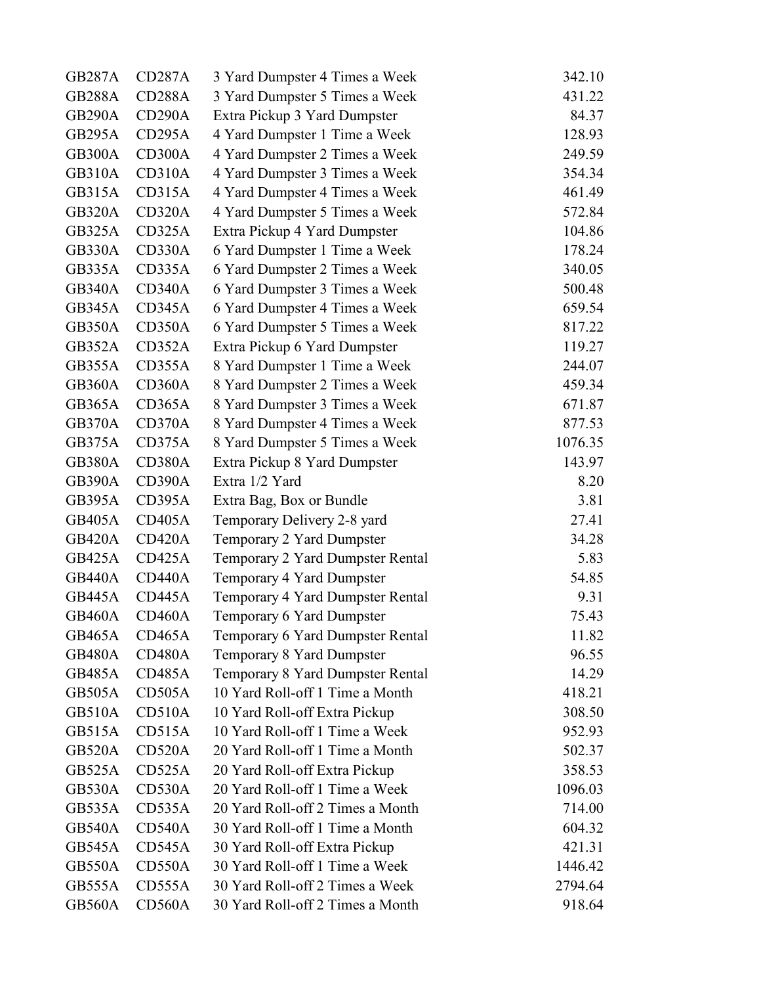| <b>GB287A</b> | CD287A              | 3 Yard Dumpster 4 Times a Week   | 342.10  |
|---------------|---------------------|----------------------------------|---------|
| GB288A        | CD <sub>288</sub> A | 3 Yard Dumpster 5 Times a Week   | 431.22  |
| <b>GB290A</b> | CD290A              | Extra Pickup 3 Yard Dumpster     | 84.37   |
| <b>GB295A</b> | CD295A              | 4 Yard Dumpster 1 Time a Week    | 128.93  |
| GB300A        | CD300A              | 4 Yard Dumpster 2 Times a Week   | 249.59  |
| <b>GB310A</b> | CD310A              | 4 Yard Dumpster 3 Times a Week   | 354.34  |
| GB315A        | CD315A              | 4 Yard Dumpster 4 Times a Week   | 461.49  |
| <b>GB320A</b> | CD320A              | 4 Yard Dumpster 5 Times a Week   | 572.84  |
| GB325A        | CD325A              | Extra Pickup 4 Yard Dumpster     | 104.86  |
| <b>GB330A</b> | CD330A              | 6 Yard Dumpster 1 Time a Week    | 178.24  |
| GB335A        | CD335A              | 6 Yard Dumpster 2 Times a Week   | 340.05  |
| GB340A        | CD340A              | 6 Yard Dumpster 3 Times a Week   | 500.48  |
| GB345A        | CD345A              | 6 Yard Dumpster 4 Times a Week   | 659.54  |
| GB350A        | CD350A              | 6 Yard Dumpster 5 Times a Week   | 817.22  |
| <b>GB352A</b> | CD352A              | Extra Pickup 6 Yard Dumpster     | 119.27  |
| GB355A        | CD355A              | 8 Yard Dumpster 1 Time a Week    | 244.07  |
| <b>GB360A</b> | CD360A              | 8 Yard Dumpster 2 Times a Week   | 459.34  |
| GB365A        | CD365A              | 8 Yard Dumpster 3 Times a Week   | 671.87  |
| GB370A        | CD370A              | 8 Yard Dumpster 4 Times a Week   | 877.53  |
| GB375A        | CD375A              | 8 Yard Dumpster 5 Times a Week   | 1076.35 |
| GB380A        | CD380A              | Extra Pickup 8 Yard Dumpster     | 143.97  |
| <b>GB390A</b> | CD390A              | Extra 1/2 Yard                   | 8.20    |
| <b>GB395A</b> | CD395A              | Extra Bag, Box or Bundle         | 3.81    |
| <b>GB405A</b> | CD405A              | Temporary Delivery 2-8 yard      | 27.41   |
| <b>GB420A</b> | CD420A              | Temporary 2 Yard Dumpster        | 34.28   |
| GB425A        | CD425A              | Temporary 2 Yard Dumpster Rental | 5.83    |
| <b>GB440A</b> | CD440A              | Temporary 4 Yard Dumpster        | 54.85   |
| <b>GB445A</b> | CD445A              | Temporary 4 Yard Dumpster Rental | 9.31    |
| GB460A        | CD460A              | Temporary 6 Yard Dumpster        | 75.43   |
| <b>GB465A</b> | CD465A              | Temporary 6 Yard Dumpster Rental | 11.82   |
| GB480A        | CD480A              | Temporary 8 Yard Dumpster        | 96.55   |
| <b>GB485A</b> | CD485A              | Temporary 8 Yard Dumpster Rental | 14.29   |
| GB505A        | CD505A              | 10 Yard Roll-off 1 Time a Month  | 418.21  |
| <b>GB510A</b> | CD510A              | 10 Yard Roll-off Extra Pickup    | 308.50  |
| GB515A        | CD515A              | 10 Yard Roll-off 1 Time a Week   | 952.93  |
| <b>GB520A</b> | CD520A              | 20 Yard Roll-off 1 Time a Month  | 502.37  |
| GB525A        | CD525A              | 20 Yard Roll-off Extra Pickup    | 358.53  |
| GB530A        | CD530A              | 20 Yard Roll-off 1 Time a Week   | 1096.03 |
| GB535A        | CD535A              | 20 Yard Roll-off 2 Times a Month | 714.00  |
| <b>GB540A</b> | CD540A              | 30 Yard Roll-off 1 Time a Month  | 604.32  |
| GB545A        | CD545A              | 30 Yard Roll-off Extra Pickup    | 421.31  |
| GB550A        | CD550A              | 30 Yard Roll-off 1 Time a Week   | 1446.42 |
| GB555A        | CD555A              | 30 Yard Roll-off 2 Times a Week  | 2794.64 |
| GB560A        | CD560A              | 30 Yard Roll-off 2 Times a Month | 918.64  |